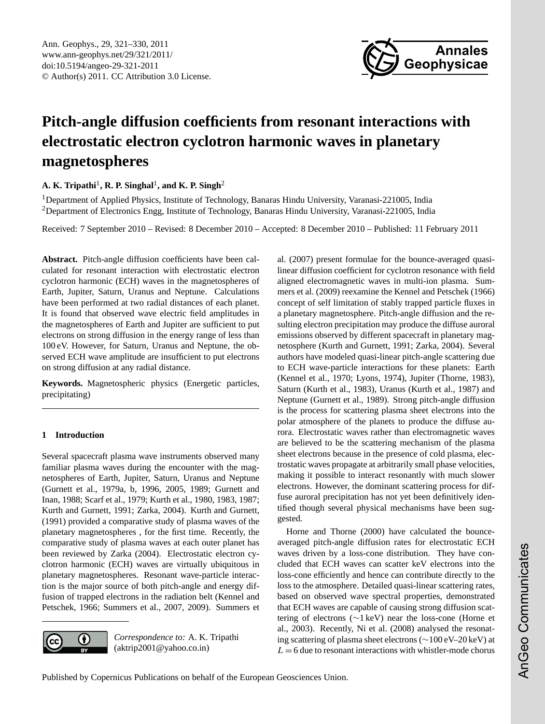

# <span id="page-0-0"></span>**Pitch-angle diffusion coefficients from resonant interactions with electrostatic electron cyclotron harmonic waves in planetary magnetospheres**

**A. K. Tripathi**<sup>1</sup> **, R. P. Singhal**<sup>1</sup> **, and K. P. Singh**<sup>2</sup>

<sup>1</sup>Department of Applied Physics, Institute of Technology, Banaras Hindu University, Varanasi-221005, India <sup>2</sup>Department of Electronics Engg, Institute of Technology, Banaras Hindu University, Varanasi-221005, India

Received: 7 September 2010 – Revised: 8 December 2010 – Accepted: 8 December 2010 – Published: 11 February 2011

**Abstract.** Pitch-angle diffusion coefficients have been calculated for resonant interaction with electrostatic electron cyclotron harmonic (ECH) waves in the magnetospheres of Earth, Jupiter, Saturn, Uranus and Neptune. Calculations have been performed at two radial distances of each planet. It is found that observed wave electric field amplitudes in the magnetospheres of Earth and Jupiter are sufficient to put electrons on strong diffusion in the energy range of less than 100 eV. However, for Saturn, Uranus and Neptune, the observed ECH wave amplitude are insufficient to put electrons on strong diffusion at any radial distance.

**Keywords.** Magnetospheric physics (Energetic particles, precipitating)

# **1 Introduction**

Several spacecraft plasma wave instruments observed many familiar plasma waves during the encounter with the magnetospheres of Earth, Jupiter, Saturn, Uranus and Neptune (Gurnett et al., 1979a, b, 1996, 2005, 1989; Gurnett and Inan, 1988; Scarf et al., 1979; Kurth et al., 1980, 1983, 1987; Kurth and Gurnett, 1991; Zarka, 2004). Kurth and Gurnett, (1991) provided a comparative study of plasma waves of the planetary magnetospheres , for the first time. Recently, the comparative study of plasma waves at each outer planet has been reviewed by Zarka (2004). Electrostatic electron cyclotron harmonic (ECH) waves are virtually ubiquitous in planetary magnetospheres. Resonant wave-particle interaction is the major source of both pitch-angle and energy diffusion of trapped electrons in the radiation belt (Kennel and Petschek, 1966; Summers et al., 2007, 2009). Summers et



*Correspondence to:* A. K. Tripathi (aktrip2001@yahoo.co.in)

al. (2007) present formulae for the bounce-averaged quasilinear diffusion coefficient for cyclotron resonance with field aligned electromagnetic waves in multi-ion plasma. Summers et al. (2009) reexamine the Kennel and Petschek (1966) concept of self limitation of stably trapped particle fluxes in a planetary magnetosphere. Pitch-angle diffusion and the resulting electron precipitation may produce the diffuse auroral emissions observed by different spacecraft in planetary magnetosphere (Kurth and Gurnett, 1991; Zarka, 2004). Several authors have modeled quasi-linear pitch-angle scattering due to ECH wave-particle interactions for these planets: Earth (Kennel et al., 1970; Lyons, 1974), Jupiter (Thorne, 1983), Saturn (Kurth et al., 1983), Uranus (Kurth et al., 1987) and Neptune (Gurnett et al., 1989). Strong pitch-angle diffusion is the process for scattering plasma sheet electrons into the polar atmosphere of the planets to produce the diffuse aurora. Electrostatic waves rather than electromagnetic waves are believed to be the scattering mechanism of the plasma sheet electrons because in the presence of cold plasma, electrostatic waves propagate at arbitrarily small phase velocities, making it possible to interact resonantly with much slower electrons. However, the dominant scattering process for diffuse auroral precipitation has not yet been definitively identified though several physical mechanisms have been suggested.

Horne and Thorne (2000) have calculated the bounceaveraged pitch-angle diffusion rates for electrostatic ECH waves driven by a loss-cone distribution. They have concluded that ECH waves can scatter keV electrons into the loss-cone efficiently and hence can contribute directly to the loss to the atmosphere. Detailed quasi-linear scattering rates, based on observed wave spectral properties, demonstrated that ECH waves are capable of causing strong diffusion scattering of electrons (∼1 keV) near the loss-cone (Horne et al., 2003). Recently, Ni et al. (2008) analysed the resonating scattering of plasma sheet electrons (∼100 eV–20 keV) at  $L = 6$  due to resonant interactions with whistler-mode chorus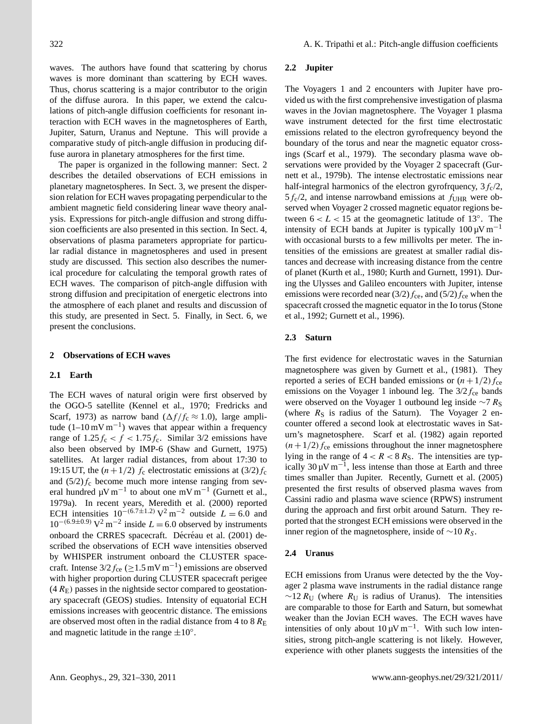waves. The authors have found that scattering by chorus waves is more dominant than scattering by ECH waves. Thus, chorus scattering is a major contributor to the origin of the diffuse aurora. In this paper, we extend the calculations of pitch-angle diffusion coefficients for resonant interaction with ECH waves in the magnetospheres of Earth, Jupiter, Saturn, Uranus and Neptune. This will provide a comparative study of pitch-angle diffusion in producing diffuse aurora in planetary atmospheres for the first time.

The paper is organized in the following manner: Sect. 2 describes the detailed observations of ECH emissions in planetary magnetospheres. In Sect. 3, we present the dispersion relation for ECH waves propagating perpendicular to the ambient magnetic field considering linear wave theory analysis. Expressions for pitch-angle diffusion and strong diffusion coefficients are also presented in this section. In Sect. 4, observations of plasma parameters appropriate for particular radial distance in magnetospheres and used in present study are discussed. This section also describes the numerical procedure for calculating the temporal growth rates of ECH waves. The comparison of pitch-angle diffusion with strong diffusion and precipitation of energetic electrons into the atmosphere of each planet and results and discussion of this study, are presented in Sect. 5. Finally, in Sect. 6, we present the conclusions.

#### **2 Observations of ECH waves**

#### **2.1 Earth**

The ECH waves of natural origin were first observed by the OGO-5 satellite (Kennel et al., 1970; Fredricks and Scarf, 1973) as narrow band ( $\Delta f/f_c \approx 1.0$ ), large amplitude  $(1-10 \text{ mV m}^{-1})$  waves that appear within a frequency range of  $1.25 f_c < f < 1.75 f_c$ . Similar 3/2 emissions have also been observed by IMP-6 (Shaw and Gurnett, 1975) satellites. At larger radial distances, from about 17:30 to 19:15 UT, the  $(n+1/2)$   $f_c$  electrostatic emissions at  $(3/2)f_c$ and  $(5/2)f_c$  become much more intense ranging from several hundred  $\mu V$  m<sup>-1</sup> to about one mV m<sup>-1</sup> (Gurnett et al., 1979a). In recent years, Meredith et al. (2000) reported ECH intensities  $10^{-(6.7 \pm 1.2)}$  V<sup>2</sup> m<sup>-2</sup> outside  $L = 6.0$  and  $10^{-(6.9\pm0.9)}$  V<sup>2</sup> m<sup>-2</sup> inside  $L = 6.0$  observed by instruments onboard the CRRES spacecraft. Décréau et al. (2001) described the observations of ECH wave intensities observed by WHISPER instrument onboard the CLUSTER spacecraft. Intense  $3/2 f_{ce}$  (≥1.5 mV m<sup>-1</sup>) emissions are observed with higher proportion during CLUSTER spacecraft perigee  $(4 R<sub>E</sub>)$  passes in the nightside sector compared to geostationary spacecraft (GEOS) studies. Intensity of equatorial ECH emissions increases with geocentric distance. The emissions are observed most often in the radial distance from 4 to 8  $R<sub>E</sub>$ and magnetic latitude in the range  $\pm 10^{\circ}$ .

### **2.2 Jupiter**

The Voyagers 1 and 2 encounters with Jupiter have provided us with the first comprehensive investigation of plasma waves in the Jovian magnetosphere. The Voyager 1 plasma wave instrument detected for the first time electrostatic emissions related to the electron gyrofrequency beyond the boundary of the torus and near the magnetic equator crossings (Scarf et al., 1979). The secondary plasma wave observations were provided by the Voyager 2 spacecraft (Gurnett et al., 1979b). The intense electrostatic emissions near half-integral harmonics of the electron gyrofrquency,  $3f_c/2$ ,  $5f_c/2$ , and intense narrowband emissions at  $f_{\text{UHR}}$  were observed when Voyager 2 crossed magnetic equator regions between  $6 < L < 15$  at the geomagnetic latitude of 13°. The intensity of ECH bands at Jupiter is typically  $100 \mu V m^{-1}$ with occasional bursts to a few millivolts per meter. The intensities of the emissions are greatest at smaller radial distances and decrease with increasing distance from the centre of planet (Kurth et al., 1980; Kurth and Gurnett, 1991). During the Ulysses and Galileo encounters with Jupiter, intense emissions were recorded near  $(3/2) f_{ce}$ , and  $(5/2) f_{ce}$  when the spacecraft crossed the magnetic equator in the Io torus (Stone et al., 1992; Gurnett et al., 1996).

#### **2.3 Saturn**

The first evidence for electrostatic waves in the Saturnian magnetosphere was given by Gurnett et al., (1981). They reported a series of ECH banded emissions or  $(n+1/2)f_{ce}$ emissions on the Voyager 1 inbound leg. The  $3/2f_{ce}$  bands were observed on the Voyager 1 outbound leg inside  $\sim$ 7 R<sub>S</sub> (where  $R<sub>S</sub>$  is radius of the Saturn). The Voyager 2 encounter offered a second look at electrostatic waves in Saturn's magnetosphere. Scarf et al. (1982) again reported  $(n+1/2)$   $f_{ce}$  emissions throughout the inner magnetosphere lying in the range of  $4 < R < 8 R<sub>S</sub>$ . The intensities are typically 30  $\mu$ V m<sup>-1</sup>, less intense than those at Earth and three times smaller than Jupiter. Recently, Gurnett et al. (2005) presented the first results of observed plasma waves from Cassini radio and plasma wave science (RPWS) instrument during the approach and first orbit around Saturn. They reported that the strongest ECH emissions were observed in the inner region of the magnetosphere, inside of  $\sim$ 10 R<sub>S</sub>.

### **2.4 Uranus**

ECH emissions from Uranus were detected by the the Voyager 2 plasma wave instruments in the radial distance range  $\sim$ 12 R<sub>U</sub> (where R<sub>U</sub> is radius of Uranus). The intensities are comparable to those for Earth and Saturn, but somewhat weaker than the Jovian ECH waves. The ECH waves have intensities of only about  $10 \mu V m^{-1}$ . With such low intensities, strong pitch-angle scattering is not likely. However, experience with other planets suggests the intensities of the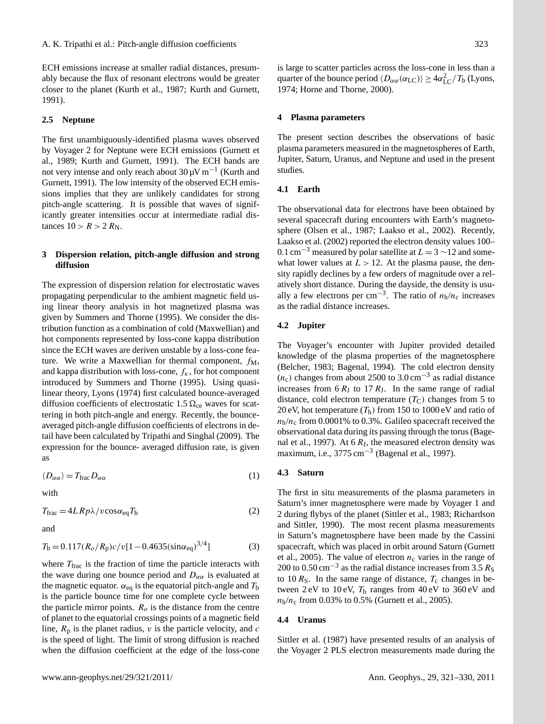ECH emissions increase at smaller radial distances, presumably because the flux of resonant electrons would be greater closer to the planet (Kurth et al., 1987; Kurth and Gurnett, 1991).

#### **2.5 Neptune**

The first unambiguously-identified plasma waves observed by Voyager 2 for Neptune were ECH emissions (Gurnett et al., 1989; Kurth and Gurnett, 1991). The ECH bands are not very intense and only reach about  $30 \mu V m^{-1}$  (Kurth and Gurnett, 1991). The low intensity of the observed ECH emissions implies that they are unlikely candidates for strong pitch-angle scattering. It is possible that waves of significantly greater intensities occur at intermediate radial distances  $10 > R > 2 R<sub>N</sub>$ .

# **3 Dispersion relation, pitch-angle diffusion and strong diffusion**

The expression of dispersion relation for electrostatic waves propagating perpendicular to the ambient magnetic field using linear theory analysis in hot magnetized plasma was given by Summers and Thorne (1995). We consider the distribution function as a combination of cold (Maxwellian) and hot components represented by loss-cone kappa distribution since the ECH waves are deriven unstable by a loss-cone feature. We write a Maxwellian for thermal component,  $f_M$ , and kappa distribution with loss-cone,  $f_k$ , for hot component introduced by Summers and Thorne (1995). Using quasilinear theory, Lyons (1974) first calculated bounce-averaged diffusion coefficients of electrostatic 1.5  $\Omega_{ce}$  waves for scattering in both pitch-angle and energy. Recently, the bounceaveraged pitch-angle diffusion coefficients of electrons in detail have been calculated by Tripathi and Singhal (2009). The expression for the bounce- averaged diffusion rate, is given as

$$
\langle D_{\alpha\alpha}\rangle = T_{\text{frac}} D_{\alpha\alpha} \tag{1}
$$

with

$$
T_{\text{frac}} = 4LRp\lambda/v\cos\alpha_{\text{eq}}T_{\text{b}}
$$
 (2)

and

$$
T_{\rm b} = 0.117 (R_o/R_{\rm p})c/v[1 - 0.4635(\sin \alpha_{\rm eq})^{3/4}]
$$
 (3)

where  $T_{\text{frac}}$  is the fraction of time the particle interacts with the wave during one bounce period and  $D_{\alpha\alpha}$  is evaluated at the magnetic equator.  $\alpha_{eq}$  is the equatorial pitch-angle and  $T_b$ is the particle bounce time for one complete cycle between the particle mirror points.  $R<sub>o</sub>$  is the distance from the centre of planet to the equatorial crossings points of a magnetic field line,  $R_p$  is the planet radius, v is the particle velocity, and c is the speed of light. The limit of strong diffusion is reached when the diffusion coefficient at the edge of the loss-cone is large to scatter particles across the loss-cone in less than a quarter of the bounce period  $\langle D_{\alpha\alpha}(\alpha_{\text{LC}})\rangle \geq 4\alpha_{\text{LC}}^2/T_b$  (Lyons, 1974; Horne and Thorne, 2000).

#### **4 Plasma parameters**

The present section describes the observations of basic plasma parameters measured in the magnetospheres of Earth, Jupiter, Saturn, Uranus, and Neptune and used in the present studies.

#### **4.1 Earth**

The observational data for electrons have been obtained by several spacecraft during encounters with Earth's magnetosphere (Olsen et al., 1987; Laakso et al., 2002). Recently, Laakso et al. (2002) reported the electron density values 100– 0.1 cm<sup>-3</sup> measured by polar satellite at  $L = 3 \sim 12$  and somewhat lower values at  $L > 12$ . At the plasma pause, the density rapidly declines by a few orders of magnitude over a relatively short distance. During the dayside, the density is usually a few electrons per cm<sup>-3</sup>. The ratio of  $n_h/n_c$  increases as the radial distance increases.

#### **4.2 Jupiter**

The Voyager's encounter with Jupiter provided detailed knowledge of the plasma properties of the magnetosphere (Belcher, 1983; Bagenal, 1994). The cold electron density  $(n_c)$  changes from about 2500 to 3.0 cm<sup>-3</sup> as radial distance increases from  $6R_J$  to  $17R_J$ . In the same range of radial distance, cold electron temperature  $(T_C)$  changes from 5 to 20 eV, hot temperature  $(T_h)$  from 150 to 1000 eV and ratio of  $n_h/n_c$  from 0.0001% to 0.3%. Galileo spacecraft received the observational data during its passing through the torus (Bagenal et al., 1997). At  $6R_J$ , the measured electron density was maximum, i.e., 3775 cm<sup>-3</sup> (Bagenal et al., 1997).

# **4.3 Saturn**

The first in situ measurements of the plasma parameters in Saturn's inner magnetosphere were made by Voyager 1 and 2 during flybys of the planet (Sittler et al., 1983; Richardson and Sittler, 1990). The most recent plasma measurements in Saturn's magnetosphere have been made by the Cassini spacecraft, which was placed in orbit around Saturn (Gurnett et al., 2005). The value of electron  $n_c$  varies in the range of 200 to 0.50 cm<sup>-3</sup> as the radial distance increases from 3.5  $R<sub>S</sub>$ to 10  $R<sub>S</sub>$ . In the same range of distance,  $T<sub>c</sub>$  changes in between  $2 \text{ eV}$  to  $10 \text{ eV}$ ,  $T_h$  ranges from  $40 \text{ eV}$  to  $360 \text{ eV}$  and  $n_h/n_c$  from 0.03% to 0.5% (Gurnett et al., 2005).

#### **4.4 Uranus**

Sittler et al. (1987) have presented results of an analysis of the Voyager 2 PLS electron measurements made during the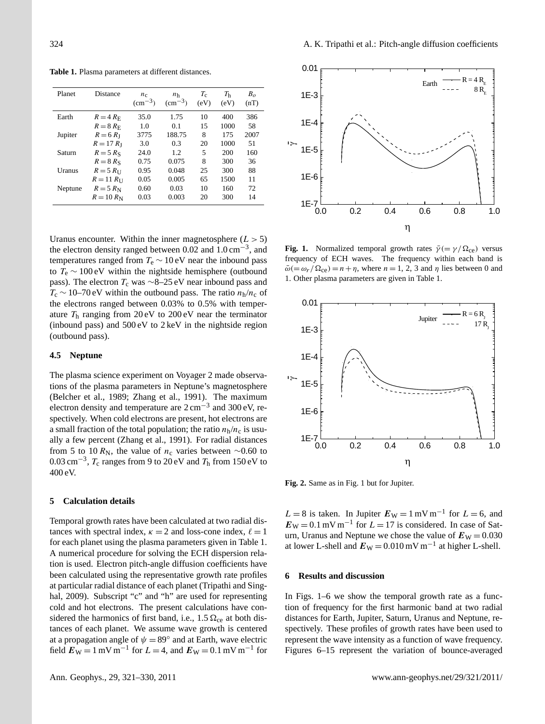**Table 1.** Plasma parameters at different distances.

| Planet  | Distance           | $n_{\rm c}$     | n <sub>h</sub>  | $T_c$ | $T_{\rm h}$ | B <sub>o</sub> |
|---------|--------------------|-----------------|-----------------|-------|-------------|----------------|
|         |                    | $\rm (cm^{-3})$ | $\rm (cm^{-3})$ | (eV)  | (eV)        | (nT)           |
| Earth   | $R = 4 R_{\rm F}$  | 35.0            | 1.75            | 10    | 400         | 386            |
|         | $R=8 R_{\rm F}$    | 1.0             | 0.1             | 15    | 1000        | 58             |
| Jupiter | $R = 6 R_{\rm I}$  | 3775            | 188.75          | 8     | 175         | 2007           |
|         | $R = 17 R_{\rm I}$ | 3.0             | 0.3             | 20    | 1000        | 51             |
| Saturn  | $R = 5 R_S$        | 24.0            | 1.2.            | 5     | 200         | 160            |
|         | $R = 8 RS$         | 0.75            | 0.075           | 8     | 300         | 36             |
| Uranus  | $R = 5 R_{\rm H}$  | 0.95            | 0.048           | 25    | 300         | 88             |
|         | $R = 11 R_{\rm H}$ | 0.05            | 0.005           | 65    | 1500        | 11             |
| Neptune | $R = 5 R_{\rm N}$  | 0.60            | 0.03            | 10    | 160         | 72             |
|         | $R = 10 RN$        | 0.03            | 0.003           | 20    | 300         | 14             |

Uranus encounter. Within the inner magnetosphere  $(L > 5)$ the electron density ranged between  $0.02$  and  $1.0 \text{ cm}^{-3}$ , and temperatures ranged from  $T_e \sim 10 \text{ eV}$  near the inbound pass frequency of to  $T_e \sim 100 \text{ eV}$  within the nightside hemisphere (outbound  $p_{\rm e}$  ° 100 eV within the inglished hemisphere (outbound pass). The electron  $T_{\rm c}$  was ∼8–25 eV near inbound pass and  $T_c \sim 10-70$  eV within the outbound pass. The ratio  $n_h/n_c$  of the electrons ranged between  $0.03\%$  to  $0.5\%$  with temperature  $T<sub>h</sub>$  ranging from 20 eV to 200 eV near the terminator (inbound pass) and 500 eV to 2 keV in the nightside region (outbound pass).  $\frac{1}{c}$ 

#### **4.5 Neptune**

The plasma science experiment on Voyager 2 made observations of the plasma parameters in Neptune's magnetosphere (Belcher et al., 1989; Zhang et al., 1991). The maximum electron density and temperature are  $2 \text{ cm}^{-3}$  and 300 eV, respectively. When cold electrons are present, hot electrons are a small fraction of the total population; the ratio  $n_h/n_c$  is usually a few percent (Zhang et al., 1991). For radial distances from 5 to 10  $R_N$ , the value of  $n_c$  varies between ~0.60 to 0.03 cm<sup>-3</sup>,  $T_c$  ranges from 9 to 20 eV and  $T_h$  from 150 eV to 400 eV.

# 5 Calculation details

Temporal growth rates have been calculated at two radial distances with spectral index,  $\kappa = 2$  and loss-cone index,  $\ell = 1$ for each planet using the plasma parameters given in Table 1. A numerical procedure for solving the ECH dispersion relation is used. Electron pitch-angle diffusion coefficients have been calculated using the representative growth rate profiles at particular radial distance of each planet (Tripathi and Singhal, 2009). Subscript "c" and "h" are used for representing cold and hot electrons. The present calculations have considered the harmonics of first band, i.e.,  $1.5 \Omega_{ce}$  at both dis-<br>distances tances of each planet. We assume wave growth is centered η at a propagation angle of  $\psi = 89^\circ$  and at Earth, wave electric field  $\mathbf{E}_{\text{W}} = 1 \text{ mV m}^{-1}$  for  $L = 4$ , and  $\mathbf{E}_{\text{W}} = 0.1 \text{ mV m}^{-1}$  for



frequency of ECH waves. The frequency within each band is **Fig. 1.** Normalized temporal growth rates  $\bar{\gamma} (= \gamma / \Omega_{ce})$  versus  $\bar{\omega}$ (=  $\omega_r/\Omega_{ce}$ ) =  $n+\eta$ , where  $n=1, 2, 3$  and  $\eta$  lies between 0 and 1. Other plasma parameters are given in Table 1.



 $\overline{a}$ **Fig. 2.** Same as in Fig. 1 but for Jupiter.

 $E_{\text{W}} = 0.1 \text{ mV m}^{-1}$  for  $L = 17$  is considered. In case of Saturn, Uranus and Neptune we chose the value of  $E_W = 0.030$  $L = 8$  is taken. In Jupiter  $E_W = 1 \text{ mV m}^{-1}$  for  $L = 6$ , and at lower L-shell and  $E_{\text{W}} = 0.010 \text{ mV m}^{-1}$  at higher L-shell.

# **6 Results and discussion**

In Figs. 1–6 we show the temporal growth rate as a function of frequency for the first harmonic band at two radial distances for Earth, Jupiter, Saturn, Uranus and Neptune, respectively. These profiles of growth rates have been used to represent the wave intensity as a function of wave frequency. Figures 6–15 represent the variation of bounce-averaged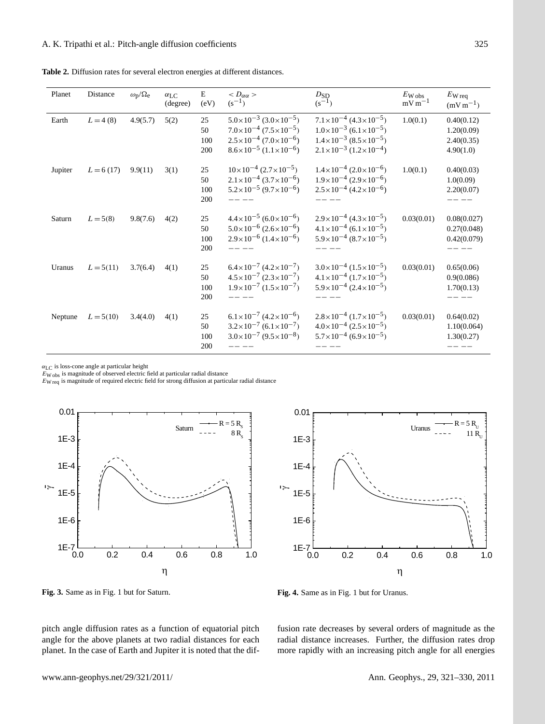| Planet  | Distance    | $\omega_{\rm p}/\Omega_{\rm e}$ | $\alpha$ <sub>LC</sub><br>(degree) | Е<br>(eV)              | $< D_{\alpha\alpha} >$<br>$(s^{-1})$                                                                                                                                              | $D_{SD}$<br>$(s^{-1})$                                                                                                                                                           | $E_{\text{W} \text{obs}}$<br>$mV m^{-1}$ | $E_{\rm W \, req}$<br>$(mV m^{-1})$                 |
|---------|-------------|---------------------------------|------------------------------------|------------------------|-----------------------------------------------------------------------------------------------------------------------------------------------------------------------------------|----------------------------------------------------------------------------------------------------------------------------------------------------------------------------------|------------------------------------------|-----------------------------------------------------|
| Earth   | $L = 4(8)$  | 4.9(5.7)                        | 5(2)                               | 25<br>50<br>100<br>200 | $5.0\times10^{-3}$ $(3.0\times10^{-5})$<br>$7.0\times10^{-4}$ $(7.5\times10^{-5})$<br>$2.5 \times 10^{-4}$ (7.0 $\times 10^{-6}$ )<br>$8.6 \times 10^{-5}$ $(1.1 \times 10^{-6})$ | $7.1 \times 10^{-4}$ $(4.3 \times 10^{-5})$<br>$1.0\times10^{-3}$ $(6.1\times10^{-5})$<br>$1.4\times10^{-3}$ $(8.5\times10^{-5})$<br>$2.1 \times 10^{-3}$ $(1.2 \times 10^{-4})$ | 1.0(0.1)                                 | 0.40(0.12)<br>1.20(0.09)<br>2.40(0.35)<br>4.90(1.0) |
| Jupiter | $L = 6(17)$ | 9.9(11)                         | 3(1)                               | 25<br>50<br>100<br>200 | $10\times10^{-4}$ (2.7 $\times10^{-5}$ )<br>$2.1 \times 10^{-4}$ $(3.7 \times 10^{-6})$<br>$5.2 \times 10^{-5}$ (9.7 $\times 10^{-6}$ )                                           | $1.4\times10^{-4}$ $(2.0\times10^{-6})$<br>$1.9\times10^{-4}$ $(2.9\times10^{-6})$<br>$2.5 \times 10^{-4}$ (4.2×10 <sup>-6</sup> )                                               | 1.0(0.1)                                 | 0.40(0.03)<br>1.0(0.09)<br>2.20(0.07)               |
| Saturn  | $L = 5(8)$  | 9.8(7.6)                        | 4(2)                               | 25<br>50<br>100<br>200 | $4.4 \times 10^{-5}$ $(6.0 \times 10^{-6})$<br>$5.0\times10^{-6}$ $(2.6\times10^{-6})$<br>$2.9 \times 10^{-6}$ $(1.4 \times 10^{-6})$                                             | $2.9\times10^{-4}$ $(4.3\times10^{-5})$<br>$4.1 \times 10^{-4}$ $(6.1 \times 10^{-5})$<br>$5.9\times10^{-4}$ $(8.7\times10^{-5})$                                                | 0.03(0.01)                               | 0.08(0.027)<br>0.27(0.048)<br>0.42(0.079)           |
| Uranus  | $L = 5(11)$ | 3.7(6.4)                        | 4(1)                               | 25<br>50<br>100<br>200 | $6.4\times10^{-7}$ $(4.2\times10^{-7})$<br>$4.5 \times 10^{-7}$ $(2.3 \times 10^{-7})$<br>$1.9\times10^{-7}$ $(1.5\times10^{-7})$                                                 | $3.0\times10^{-4}$ $(1.5\times10^{-5})$<br>$4.1 \times 10^{-4}$ $(1.7 \times 10^{-5})$<br>$5.9 \times 10^{-4}$ $(2.4 \times 10^{-5})$                                            | 0.03(0.01)                               | 0.65(0.06)<br>0.9(0.086)<br>1.70(0.13)              |
| Neptune | $L = 5(10)$ | 3.4(4.0)                        | 4(1)                               | 25<br>50<br>100<br>200 | $6.1 \times 10^{-7}$ $(4.2 \times 10^{-6})$<br>$3.2\times10^{-7}$ (6.1×10 <sup>-7</sup> )<br>$3.0\times10^{-7}$ $(9.5\times10^{-8})$                                              | $2.8 \times 10^{-4}$ $(1.7 \times 10^{-5})$<br>$4.0\times10^{-4}$ $(2.5\times10^{-5})$<br>$5.7\times10^{-4}$ $(6.9\times10^{-5})$                                                | 0.03(0.01)                               | 0.64(0.02)<br>1.10(0.064)<br>1.30(0.27)             |

 $\alpha_{\text{LC}}$  is loss-cone angle at particular height

 $E_{\text{W} \text{obs}}$  is magnitude of observed electric field at particular radial distance

 $E_{\text{W}}$  req is magnitude of required electric field for strong diffusion at particular radial distance  $E_{\text{W}}$  req is magnitude of required electric field for strong diffusion at particular radial distance 0.0 0.2 0.4 0.6 0.8 1.0



**Fig. 3.** Same as in Fig. 1 but for Saturn.

pitch angle diffusion rates as a function of equatorial pitch angle for the above planets at two radial distances for each planet. In the case of Earth and Jupiter it is noted that the dif-



**Fig. 4.** Same as in Fig. 1 but for Uranus.

fusion rate decreases by several orders of magnitude as the radial distance increases. Further, the diffusion rates drop more rapidly with an increasing pitch angle for all energies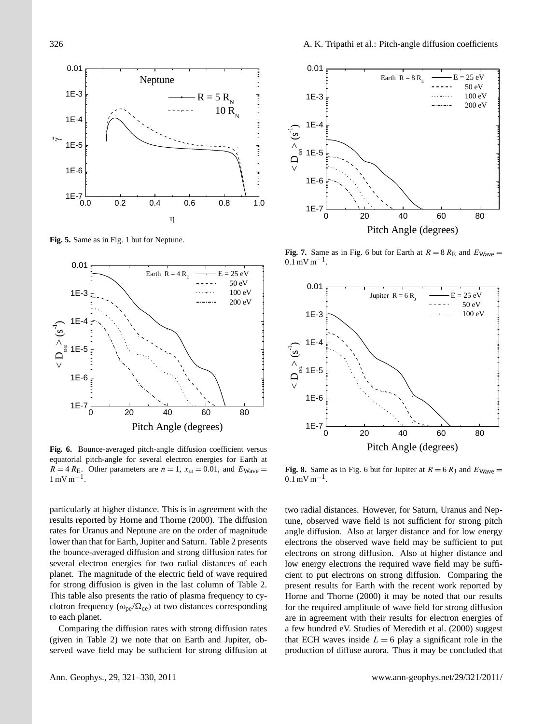

**Fig. 5.** Same as in Fig. 1 but for Neptune.



**Fig. 6.** Bounce-averaged pitch-angle diffusion coefficient versus equatorial pitch-angle for several electron energies for Earth at  $R = 4 R$ <sub>E</sub>. Other parameters are  $n = 1$ ,  $x_{\omega} = 0.01$ , and  $E_{\text{Wave}} =$  $1 \text{ mV m}^{-1}$ .

particularly at higher distance. This is in agreement with the This table also presents the ratio of plasma frequency to cy-<br>
also presents the ratio of plasma frequency to cy-<br>
also frequency ( $\alpha$ ,  $\beta$ ) at two distances acrossometing particularly at higher ulstance. This is in agreement with the two results reported by Horne and Thorne (2000). The diffusion rates for Uranus and Neptune are on the order of magnitude lower than that for Earth, Jupiter and Saturn. Table 2 presents the bounce-averaged diffusion and strong diffusion rates for several electron energies for two radial distances of each planet. The magnitude of the electric field of wave required<br>for strong diffusion is given in the last column of Table 2. for strong diffusion is given in the last column of Table 2. clotron frequency ( $\omega_{pe}/\Omega_{ce}$ ) at two distances corresponding to each planet.

served wave field may be sufficient for strong diffusion at production of diffusion Comparing the diffusion rates with strong diffusion rates (given in Table 2) we note that on Earth and Jupiter, ob-



**Fig. 7.** Same as in Fig. 6 but for Earth at  $R = 8 R$  and  $E_{\text{Wave}} =$  $0.\overline{1}$  mV m<sup>-1</sup>.



Fig. 8. Same as in Fig. 6 but for Jupiter at  $R = 6 R_J$  and  $E_{\text{Wave}} =$  $0.\overline{1}$  mV m<sup>-1</sup>.

low energy electrons the required wave field may be suffitwo radial distances. However, for Saturn, Uranus and Neptune, observed wave field is not sufficient for strong pitch angle diffusion. Also at larger distance and for low energy electrons the observed wave field may be sufficient to put electrons on strong diffusion. Also at higher distance and cient to put electrons on strong diffusion. Comparing the present results for Earth with the recent work reported by Horne and Thorne (2000) it may be noted that our results for the required amplitude of wave field for strong diffusion are in agreement with their results for electron energies of a few hundred eV. Studies of Meredith et al. (2000) suggest that ECH waves inside  $L = 6$  play a significant role in the production of diffuse aurora. Thus it may be concluded that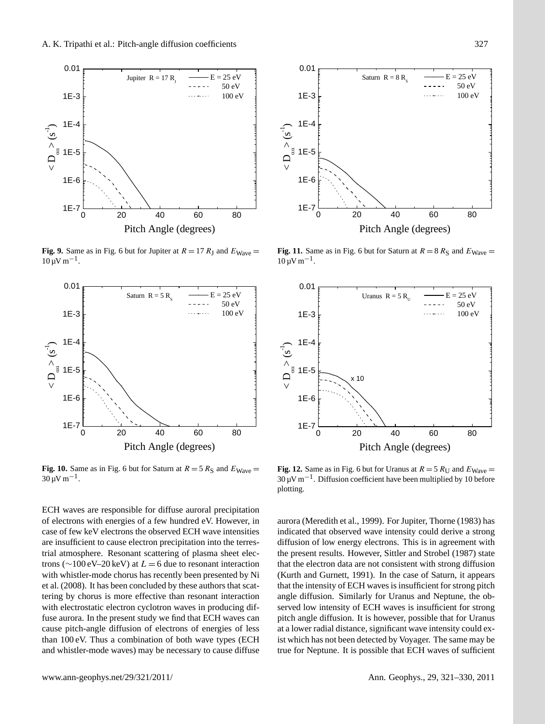

**Fig. 9.** Same as in Fig. 6 but for Jupiter at  $R = 17 R_J$  and  $E_{\text{Wave}} =$  $10 \mu V m^{-1}$ .



 $30 \mu V m^{-1}$ .

 $f$  tering by chorus is more effective than resonant interaction<br>with electrostatic electron cyclotron waves in producing difcase of few keV electrons the observed ECH wave intensities are insufficient to cause electron precipitation into the terres-**Fig. 10.** Same as in Fig. 6 but for Saturn at  $R = 5 R_S$  and  $E_{\text{Wave}} = 30 \,\mu\text{V m}^{-1}$ .<br>
ECH waves are responsible for diffuse auroral precipitation<br>
of electrons with energies of a few hundred eV. However, in<br>
case of few ECH waves are responsible for diffuse auroral precipitation of electrons with energies of a few hundred eV. However, in trial atmosphere. Resonant scattering of plasma sheet electrons ( $\sim$ 100 eV–20 keV) at  $L = 6$  due to resonant interaction with whistler-mode chorus has recently been presented by Ni et al. (2008). It has been concluded by these authors that scatwith electrostatic electron cyclotron waves in producing diffuse aurora. In the present study we find that ECH waves can<br>cause pitch-angle diffusion of electrons of energies of less cause pitch-angle diffusion of electrons of energies of less than 100 eV. Thus a combination of both wave types (ECH and whistler-mode waves) may be necessary to cause diffuse



**Fig. 11.** Same as in Fig. 6 but for Saturn at  $R = 8 R_S$  and  $E_{\text{Wave}} =$  $10 \mu V m^{-1}$ .



**Fig. 12.** Same as in Fig. 6 but for Uranus at  $R = 5 R_{\text{U}}$  and  $E_{\text{Wave}} =$  $30 \mu\text{V m}^{-1}$ . Diffusion coefficient have been multiplied by 10 before plotting.

that the intensity of ECH waves is insufficient for strong pitch diffusion of low energy electrons. This is in agreement with indicated that observed wave intensity could derive a strong the present results. However, Sittler and Strobel (1987) state aurora (Meredith et al., 1999). For Jupiter, Thorne (1983) has that the electron data are not consistent with strong diffusion (Kurth and Gurnett, 1991). In the case of Saturn, it appears angle diffusion. Similarly for Uranus and Neptune, the observed low intensity of ECH waves is insufficient for strong pitch angle diffusion. It is however, possible that for Uranus at a lower radial distance, significant wave intensity could exist which has not been detected by Voyager. The same may be true for Neptune. It is possible that ECH waves of sufficient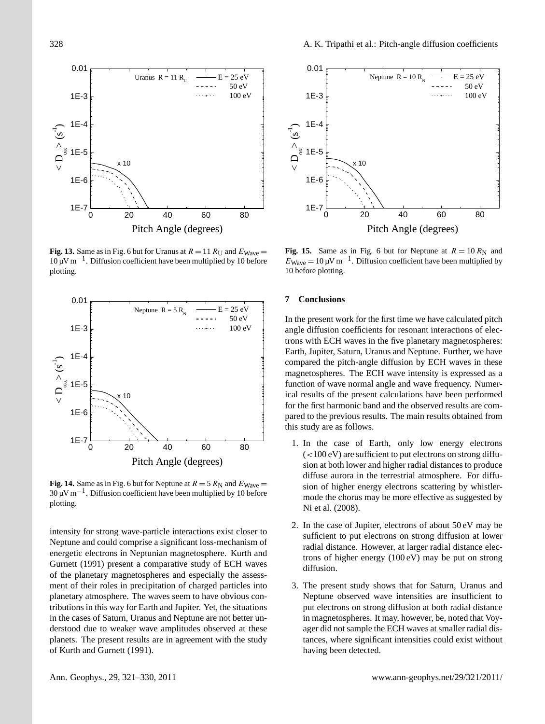

**Fig. 13.** Same as in Fig. 6 but for Uranus at  $R = 11 R_U$  and  $E_{\text{Wave}} =$  $10 \mu V$  m<sup>-1</sup>. Diffusion coefficient have been multiplied by 10 before plotting.



**Fig. 14.** Same as in Fig. 6 but for Neptune at  $R = 5 R<sub>N</sub>$  and  $E<sub>Wave</sub> =$ 30 µV m−<sup>1</sup> . Diffusion coefficient have been multiplied by 10 before plotting.

of the planetary magnetospheres and especially the assess- in the cases of Saturn, Uranus and Neptune are not better un-Neptune and could comprise a significant loss-mechanism of  $\frac{1}{2}$ energetic electrons in Neptunian magnetosphere. Kurth and intensity for strong wave-particle interactions exist closer to Gurnett (1991) present a comparative study of ECH waves ment of their roles in precipitation of charged particles into planetary atmosphere. The waves seem to have obvious contributions in this way for Earth and Jupiter. Yet, the situations derstood due to weaker wave amplitudes observed at these planets. The present results are in agreement with the study of Kurth and Gurnett (1991).



**Fig. 15.** Same as in Fig. 6 but for Neptune at  $R = 10 R<sub>N</sub>$  and  $E_{\text{Wave}} = 10 \,\mu\text{V m}^{-1}$ . Diffusion coefficient have been multiplied by 10 before plotting.

# **7 Conclusions**

In the present work for the first time we have calculated pitch angle diffusion coefficients for resonant interactions of electrons with ECH waves in the five planetary magnetospheres: Earth, Jupiter, Saturn, Uranus and Neptune. Further, we have compared the pitch-angle diffusion by ECH waves in these magnetospheres. The ECH wave intensity is expressed as a function of wave normal angle and wave frequency. Numerical results of the present calculations have been performed for the first harmonic band and the observed results are compared to the previous results. The main results obtained from this study are as follows.

- 1. In the case of Earth, only low energy electrons (<100 eV) are sufficient to put electrons on strong diffusion at both lower and higher radial distances to produce diffuse aurora in the terrestrial atmosphere. For diffusion of higher energy electrons scattering by whistlermode the chorus may be more effective as suggested by Ni et al. (2008).
- 2. In the case of Jupiter, electrons of about 50 eV may be sufficient to put electrons on strong diffusion at lower radial distance. However, at larger radial distance electrons of higher energy (100 eV) may be put on strong diffusion.
- 3. The present study shows that for Saturn, Uranus and Neptune observed wave intensities are insufficient to put electrons on strong diffusion at both radial distance in magnetospheres. It may, however, be, noted that Voyager did not sample the ECH waves at smaller radial distances, where significant intensities could exist without having been detected.

Pitch Angle (degrees)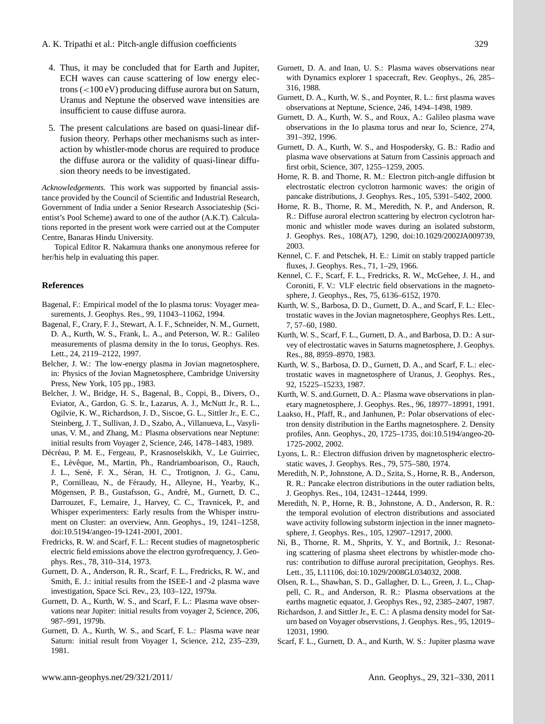- 4. Thus, it may be concluded that for Earth and Jupiter, ECH waves can cause scattering of low energy electrons (<100 eV) producing diffuse aurora but on Saturn, Uranus and Neptune the observed wave intensities are insufficient to cause diffuse aurora.
- 5. The present calculations are based on quasi-linear diffusion theory. Perhaps other mechanisms such as interaction by whistler-mode chorus are required to produce the diffuse aurora or the validity of quasi-linear diffusion theory needs to be investigated.

*Acknowledgements.* This work was supported by financial assistance provided by the Council of Scientific and Industrial Research, Government of India under a Senior Research Associateship (Scientist's Pool Scheme) award to one of the author (A.K.T). Calculations reported in the present work were carried out at the Computer Centre, Banaras Hindu University.

Topical Editor R. Nakamura thanks one anonymous referee for her/his help in evaluating this paper.

#### **References**

- Bagenal, F.: Empirical model of the Io plasma torus: Voyager measurements, J. Geophys. Res., 99, 11043–11062, 1994.
- Bagenal, F., Crary, F. J., Stewart, A. I. F., Schneider, N. M., Gurnett, D. A., Kurth, W. S., Frank, L. A., and Peterson, W. R.: Galileo measurements of plasma density in the Io torus, Geophys. Res. Lett., 24, 2119–2122, 1997.
- Belcher, J. W.: The low-energy plasma in Jovian magnetosphere, in: Physics of the Jovian Magnetosphere, Cambridge University Press, New York, 105 pp., 1983.
- Belcher, J. W., Bridge, H. S., Bagenal, B., Coppi, B., Divers, O., Eviator, A., Gardon, G. S. Ir., Lazarus, A. J., McNutt Jr., R. L., Ogilvie, K. W., Richardson, J. D., Siscoe, G. L., Sittler Jr., E. C., Steinberg, J. T., Sullivan, J. D., Szabo, A., Villanueva, L., Vasyliunas, V. M., and Zhang, M.: Plasma observations near Neptune: initial results from Voyager 2, Science, 246, 1478–1483, 1989.
- Décréau, P. M. E., Fergeau, P., Krasnoselskikh, V., Le Guirriec, E., Lévêque, M., Martin, Ph., Randriamboarison, O., Rauch, J. L., Sené, F. X., Séran, H. C., Trotignon, J. G., Canu, P., Cornilleau, N., de Féraudy, H., Alleyne, H., Yearby, K., Mögensen, P. B., Gustafsson, G., André, M., Gurnett, D. C., Darrouzet, F., Lemaire, J., Harvey, C. C., Travnicek, P., and Whisper experimenters: Early results from the Whisper instrument on Cluster: an overview, Ann. Geophys., 19, 1241–1258, [doi:10.5194/angeo-19-1241-2001,](http://dx.doi.org/10.5194/angeo-19-1241-2001) 2001.
- Fredricks, R. W. and Scarf, F. L.: Recent studies of magnetospheric electric field emissions above the electron gyrofrequency, J. Geophys. Res., 78, 310–314, 1973.
- Gurnett, D. A., Anderson, R. R., Scarf, F. L., Fredricks, R. W., and Smith, E. J.: initial results from the ISEE-1 and -2 plasma wave investigation, Space Sci. Rev., 23, 103–122, 1979a.
- Gurnett, D. A., Kurth, W. S., and Scarf, F. L.: Plasma wave observations near Jupiter: initial results from voyager 2, Science, 206, 987–991, 1979b.
- Gurnett, D. A., Kurth, W. S., and Scarf, F. L.: Plasma wave near Saturn: initial result from Voyager 1, Science, 212, 235–239, 1981.
- Gurnett, D. A. and Inan, U. S.: Plasma waves observations near with Dynamics explorer 1 spacecraft, Rev. Geophys., 26, 285– 316, 1988.
- Gurnett, D. A., Kurth, W. S., and Poynter, R. L.: first plasma waves observations at Neptune, Science, 246, 1494–1498, 1989.
- Gurnett, D. A., Kurth, W. S., and Roux, A.: Galileo plasma wave observations in the Io plasma torus and near Io, Science, 274, 391–392, 1996.
- Gurnett, D. A., Kurth, W. S., and Hospodersky, G. B.: Radio and plasma wave observations at Saturn from Cassinis approach and first orbit, Science, 307, 1255–1259, 2005.
- Horne, R. B. and Thorne, R. M.: Electron pitch-angle diffusion bt electrostatic electron cyclotron harmonic waves: the origin of pancake distributions, J. Geophys. Res., 105, 5391–5402, 2000.
- Horne, R. B., Thorne, R. M., Meredith, N. P., and Anderson, R. R.: Diffuse auroral electron scattering by electron cyclotron harmonic and whistler mode waves during an isolated substorm, J. Geophys. Res., 108(A7), 1290, [doi:10.1029/2002JA009739,](http://dx.doi.org/10.1029/2002JA009739) 2003.
- Kennel, C. F. and Petschek, H. E.: Limit on stably trapped particle fluxes, J. Geophys. Res., 71, 1–29, 1966.
- Kennel, C. F., Scarf, F. L., Fredricks, R. W., McGehee, J. H., and Coroniti, F. V.: VLF electric field observations in the magnetosphere, J. Geophys., Res, 75, 6136–6152, 1970.
- Kurth, W. S., Barbosa, D. D., Gurnett, D. A., and Scarf, F. L.: Electrostatic waves in the Jovian magnetosphere, Geophys Res. Lett., 7, 57–60, 1980.
- Kurth, W. S., Scarf, F. L., Gurnett, D. A., and Barbosa, D. D.: A survey of electrostatic waves in Saturns magnetosphere, J. Geophys. Res., 88, 8959–8970, 1983.
- Kurth, W. S., Barbosa, D. D., Gurnett, D. A., and Scarf, F. L.: electrostatic waves in magnetosphere of Uranus, J. Geophys. Res., 92, 15225–15233, 1987.
- Kurth, W. S. and.Gurnett, D. A.: Plasma wave observations in planetary magnetosphere, J. Geophys. Res., 96, 18977–18991, 1991.
- Laakso, H., Pfaff, R., and Janhunen, P.: Polar observations of electron density distribution in the Earths magnetosphere. 2. Density profiles, Ann. Geophys., 20, 1725–1735, [doi:10.5194/angeo-20-](http://dx.doi.org/10.5194/angeo-20-1725-2002) [1725-2002,](http://dx.doi.org/10.5194/angeo-20-1725-2002) 2002.
- Lyons, L. R.: Electron diffusion driven by magnetospheric electrostatic waves, J. Geophys. Res., 79, 575–580, 1974.
- Meredith, N. P., Johnstone, A. D., Szita, S., Horne, R. B., Anderson, R. R.: Pancake electron distributions in the outer radiation belts, J. Geophys. Res., 104, 12431–12444, 1999.
- Meredith, N. P., Horne, R. B., Johnstone, A. D., Anderson, R. R.: the temporal evolution of electron distributions and associated wave activity following substorm injection in the inner magnetosphere, J. Geophys. Res., 105, 12907–12917, 2000.
- Ni, B., Thorne, R. M., Shprits, Y. Y., and Bortnik, J.: Resonating scattering of plasma sheet electrons by whistler-mode chorus: contribution to diffuse auroral precipitation, Geophys. Res. Lett., 35, L11106, [doi:10.1029/2008GL034032,](http://dx.doi.org/10.1029/2008GL034032) 2008.
- Olsen, R. L., Shawhan, S. D., Gallagher, D. L., Green, J. L., Chappell, C. R., and Anderson, R. R.: Plasma observations at the earths magnetic equator, J. Geophys Res., 92, 2385–2407, 1987.
- Richardson, J. and Sittler Jr., E. C.: A plasma density model for Saturn based on Voyager observstions, J. Geophys. Res., 95, 12019– 12031, 1990.
- Scarf, F. L., Gurnett, D. A., and Kurth, W. S.: Jupiter plasma wave